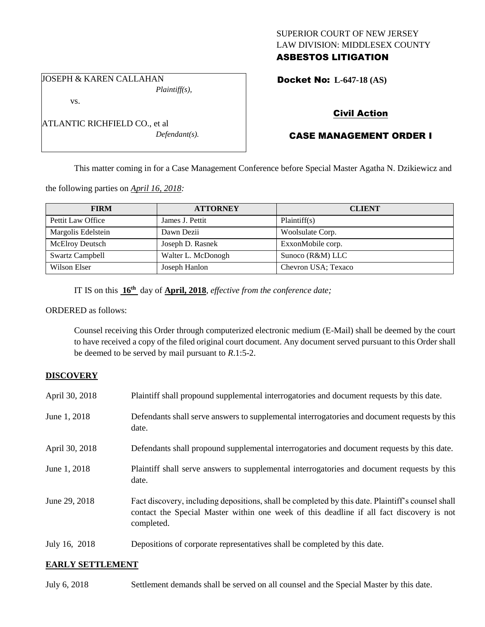### SUPERIOR COURT OF NEW JERSEY LAW DIVISION: MIDDLESEX COUNTY ASBESTOS LITIGATION

JOSEPH & KAREN CALLAHAN *Plaintiff(s),*

vs.

ATLANTIC RICHFIELD CO., et al *Defendant(s).* Docket No: **L-647-18 (AS)** 

# Civil Action

# CASE MANAGEMENT ORDER I

This matter coming in for a Case Management Conference before Special Master Agatha N. Dzikiewicz and

the following parties on *April 16, 2018:*

| <b>FIRM</b>        | <b>ATTORNEY</b>    | <b>CLIENT</b>       |
|--------------------|--------------------|---------------------|
| Pettit Law Office  | James J. Pettit    | Plaintiff(s)        |
| Margolis Edelstein | Dawn Dezii         | Woolsulate Corp.    |
| McElroy Deutsch    | Joseph D. Rasnek   | ExxonMobile corp.   |
| Swartz Campbell    | Walter L. McDonogh | Sunoco (R&M) LLC    |
| Wilson Elser       | Joseph Hanlon      | Chevron USA; Texaco |

IT IS on this **16th** day of **April, 2018**, *effective from the conference date;*

ORDERED as follows:

Counsel receiving this Order through computerized electronic medium (E-Mail) shall be deemed by the court to have received a copy of the filed original court document. Any document served pursuant to this Order shall be deemed to be served by mail pursuant to *R*.1:5-2.

## **DISCOVERY**

| April 30, 2018 | Plaintiff shall propound supplemental interrogatories and document requests by this date.                                                                                                                   |
|----------------|-------------------------------------------------------------------------------------------------------------------------------------------------------------------------------------------------------------|
| June 1, 2018   | Defendants shall serve answers to supplemental interrogatories and document requests by this<br>date.                                                                                                       |
| April 30, 2018 | Defendants shall propound supplemental interrogatories and document requests by this date.                                                                                                                  |
| June 1, 2018   | Plaintiff shall serve answers to supplemental interrogatories and document requests by this<br>date.                                                                                                        |
| June 29, 2018  | Fact discovery, including depositions, shall be completed by this date. Plaintiff's counsel shall<br>contact the Special Master within one week of this deadline if all fact discovery is not<br>completed. |
| July 16, 2018  | Depositions of corporate representatives shall be completed by this date.                                                                                                                                   |

### **EARLY SETTLEMENT**

July 6, 2018 Settlement demands shall be served on all counsel and the Special Master by this date.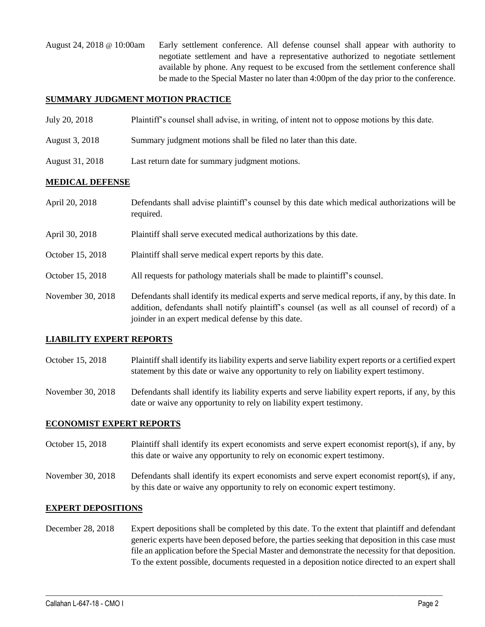August 24, 2018 @ 10:00am Early settlement conference. All defense counsel shall appear with authority to negotiate settlement and have a representative authorized to negotiate settlement available by phone. Any request to be excused from the settlement conference shall be made to the Special Master no later than 4:00pm of the day prior to the conference.

#### **SUMMARY JUDGMENT MOTION PRACTICE**

August 31, 2018 Last return date for summary judgment motions.

| July 20, 2018  | Plaintiff's counsel shall advise, in writing, of intent not to oppose motions by this date. |
|----------------|---------------------------------------------------------------------------------------------|
| August 3, 2018 | Summary judgment motions shall be filed no later than this date.                            |

### **MEDICAL DEFENSE**

| April 20, 2018    | Defendants shall advise plaintiff's counsel by this date which medical authorizations will be<br>required.                                                                                                                                               |
|-------------------|----------------------------------------------------------------------------------------------------------------------------------------------------------------------------------------------------------------------------------------------------------|
| April 30, 2018    | Plaintiff shall serve executed medical authorizations by this date.                                                                                                                                                                                      |
| October 15, 2018  | Plaintiff shall serve medical expert reports by this date.                                                                                                                                                                                               |
| October 15, 2018  | All requests for pathology materials shall be made to plaintiff's counsel.                                                                                                                                                                               |
| November 30, 2018 | Defendants shall identify its medical experts and serve medical reports, if any, by this date. In<br>addition, defendants shall notify plaintiff's counsel (as well as all counsel of record) of a<br>joinder in an expert medical defense by this date. |

### **LIABILITY EXPERT REPORTS**

October 15, 2018 Plaintiff shall identify its liability experts and serve liability expert reports or a certified expert statement by this date or waive any opportunity to rely on liability expert testimony.

November 30, 2018 Defendants shall identify its liability experts and serve liability expert reports, if any, by this date or waive any opportunity to rely on liability expert testimony.

### **ECONOMIST EXPERT REPORTS**

- October 15, 2018 Plaintiff shall identify its expert economists and serve expert economist report(s), if any, by this date or waive any opportunity to rely on economic expert testimony.
- November 30, 2018 Defendants shall identify its expert economists and serve expert economist report(s), if any, by this date or waive any opportunity to rely on economic expert testimony.

#### **EXPERT DEPOSITIONS**

December 28, 2018 Expert depositions shall be completed by this date. To the extent that plaintiff and defendant generic experts have been deposed before, the parties seeking that deposition in this case must file an application before the Special Master and demonstrate the necessity for that deposition. To the extent possible, documents requested in a deposition notice directed to an expert shall

 $\_$  ,  $\_$  ,  $\_$  ,  $\_$  ,  $\_$  ,  $\_$  ,  $\_$  ,  $\_$  ,  $\_$  ,  $\_$  ,  $\_$  ,  $\_$  ,  $\_$  ,  $\_$  ,  $\_$  ,  $\_$  ,  $\_$  ,  $\_$  ,  $\_$  ,  $\_$  ,  $\_$  ,  $\_$  ,  $\_$  ,  $\_$  ,  $\_$  ,  $\_$  ,  $\_$  ,  $\_$  ,  $\_$  ,  $\_$  ,  $\_$  ,  $\_$  ,  $\_$  ,  $\_$  ,  $\_$  ,  $\_$  ,  $\_$  ,